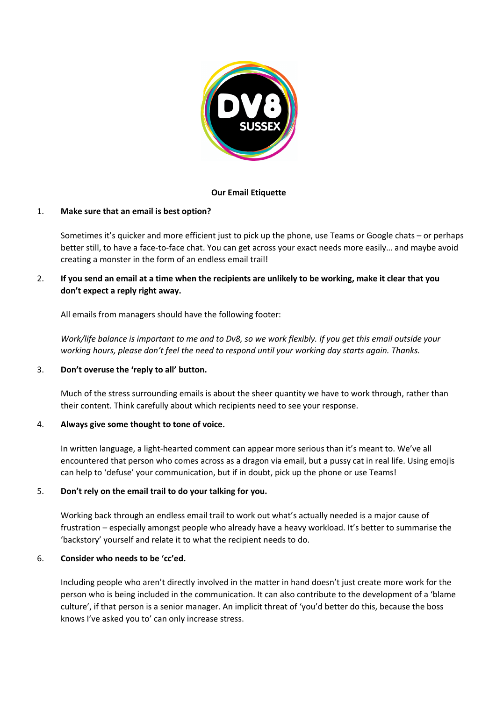

## **Our Email Etiquette**

### 1. **Make sure that an email is best option?**

Sometimes it's quicker and more efficient just to pick up the phone, use Teams or Google chats – or perhaps better still, to have a face-to-face chat. You can get across your exact needs more easily… and maybe avoid creating a monster in the form of an endless email trail!

# 2. **If you send an email at a time when the recipients are unlikely to be working, make it clear that you don't expect a reply right away.**

All emails from managers should have the following footer:

*Work/life balance is important to me and to Dv8, so we work flexibly. If you get this email outside your working hours, please don't feel the need to respond until your working day starts again. Thanks.*

#### 3. **Don't overuse the 'reply to all' button.**

Much of the stress surrounding emails is about the sheer quantity we have to work through, rather than their content. Think carefully about which recipients need to see your response.

#### 4. **Always give some thought to tone of voice.**

In written language, a light-hearted comment can appear more serious than it's meant to. We've all encountered that person who comes across as a dragon via email, but a pussy cat in real life. Using emojis can help to 'defuse' your communication, but if in doubt, pick up the phone or use Teams!

## 5. **Don't rely on the email trail to do your talking for you.**

Working back through an endless email trail to work out what's actually needed is a major cause of frustration – especially amongst people who already have a heavy workload. It's better to summarise the 'backstory' yourself and relate it to what the recipient needs to do.

#### 6. **Consider who needs to be 'cc'ed.**

Including people who aren't directly involved in the matter in hand doesn't just create more work for the person who is being included in the communication. It can also contribute to the development of a 'blame culture', if that person is a senior manager. An implicit threat of 'you'd better do this, because the boss knows I've asked you to' can only increase stress.